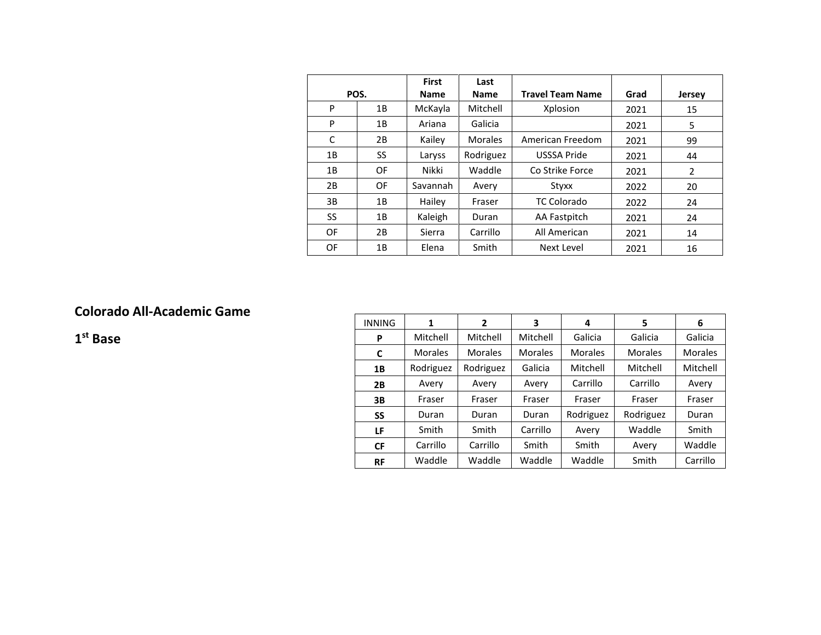|      |    | <b>First</b> | Last           |                         |      |               |
|------|----|--------------|----------------|-------------------------|------|---------------|
| POS. |    | <b>Name</b>  | <b>Name</b>    | <b>Travel Team Name</b> | Grad | <b>Jersey</b> |
| P    | 1B | McKayla      | Mitchell       | Xplosion                | 2021 | 15            |
| P    | 1B | Ariana       | Galicia        |                         | 2021 | 5             |
| C    | 2B | Kailey       | <b>Morales</b> | American Freedom        | 2021 | 99            |
| 1B   | SS | Laryss       | Rodriguez      | USSSA Pride             | 2021 | 44            |
| 1B   | OF | Nikki        | Waddle         | Co Strike Force         | 2021 | 2             |
| 2B   | OF | Savannah     | Avery          | Styxx                   | 2022 | 20            |
| 3B   | 1B | Hailey       | Fraser         | <b>TC Colorado</b>      | 2022 | 24            |
| SS   | 1B | Kaleigh      | Duran          | AA Fastpitch            | 2021 | 24            |
| OF   | 2B | Sierra       | Carrillo       | All American            | 2021 | 14            |
| OF   | 1B | Elena        | Smith          | Next Level              | 2021 | 16            |

## **Colorado All-Academic Game**

**1st Base**

| <b>INNING</b> | 1              | $\mathbf{2}$   | 3        | 4              | 5         | 6              |
|---------------|----------------|----------------|----------|----------------|-----------|----------------|
| P             | Mitchell       | Mitchell       | Mitchell | Galicia        | Galicia   | Galicia        |
| C             | <b>Morales</b> | <b>Morales</b> | Morales  | <b>Morales</b> | Morales   | <b>Morales</b> |
| 1B            | Rodriguez      | Rodriguez      | Galicia  | Mitchell       | Mitchell  | Mitchell       |
| 2B            | Avery          | Avery          | Avery    | Carrillo       | Carrillo  | Avery          |
| 3В            | Fraser         | Fraser         | Fraser   | Fraser         | Fraser    | Fraser         |
| <b>SS</b>     | Duran          | Duran          | Duran    | Rodriguez      | Rodriguez | Duran          |
| LF            | Smith          | Smith          | Carrillo | Avery          | Waddle    | Smith          |
| <b>CF</b>     | Carrillo       | Carrillo       | Smith    | Smith          | Avery     | Waddle         |
| <b>RF</b>     | Waddle         | Waddle         | Waddle   | Waddle         | Smith     | Carrillo       |